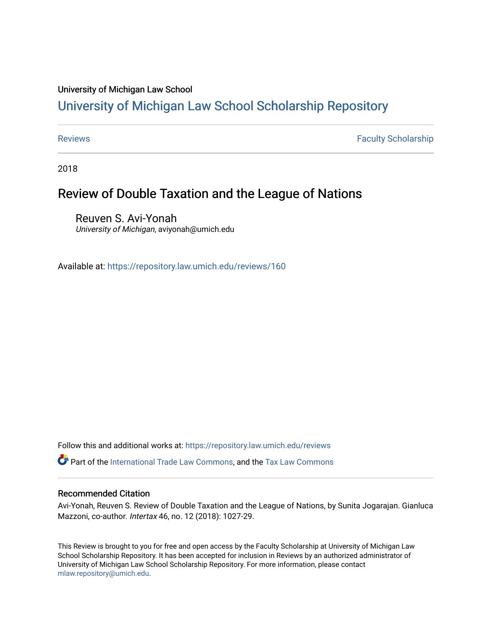### University of Michigan Law School

# [University of Michigan Law School Scholarship Repository](https://repository.law.umich.edu/)

[Reviews](https://repository.law.umich.edu/reviews) **Faculty Scholarship Faculty Scholarship Faculty Scholarship** 

2018

## Review of Double Taxation and the League of Nations

Reuven S. Avi-Yonah University of Michigan, aviyonah@umich.edu

Available at: <https://repository.law.umich.edu/reviews/160>

Follow this and additional works at: [https://repository.law.umich.edu/reviews](https://repository.law.umich.edu/reviews?utm_source=repository.law.umich.edu%2Freviews%2F160&utm_medium=PDF&utm_campaign=PDFCoverPages) 

Part of the [International Trade Law Commons](http://network.bepress.com/hgg/discipline/848?utm_source=repository.law.umich.edu%2Freviews%2F160&utm_medium=PDF&utm_campaign=PDFCoverPages), and the [Tax Law Commons](http://network.bepress.com/hgg/discipline/898?utm_source=repository.law.umich.edu%2Freviews%2F160&utm_medium=PDF&utm_campaign=PDFCoverPages)

#### Recommended Citation

Avi-Yonah, Reuven S. Review of Double Taxation and the League of Nations, by Sunita Jogarajan. Gianluca Mazzoni, co-author. Intertax 46, no. 12 (2018): 1027-29.

This Review is brought to you for free and open access by the Faculty Scholarship at University of Michigan Law School Scholarship Repository. It has been accepted for inclusion in Reviews by an authorized administrator of University of Michigan Law School Scholarship Repository. For more information, please contact [mlaw.repository@umich.edu.](mailto:mlaw.repository@umich.edu)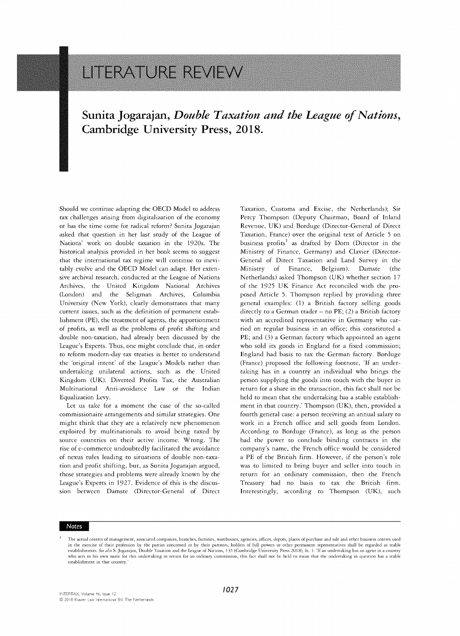# LITERATURE REVIEW

# **Sunita Jogarajan,** *Double Taxation and the League of Nations,* **Cambridge University Press, 2018.**

Should we continue adapting the OECD Model to address tax challenges arising from digitalization of the economy or has the time come for radical reform? Sunita Jogarajan asked that question in her last study of the League of Nations' work on double taxation in the 1920s. The historical analysis provided in her book seems to suggest that the international tax regime will continue to inevitably evolve and the OECD Model can adapt. Her extensive archival research, conducted at the League of Nations Archives, the United Kingdom National Archives (London) and the Seligman Archives, Columbia University (New York), clearly demonstrates that many current issues, such as the definition of permanent establishment (PE), the treatment of agents, the apportionment of profits, as well as the problems of profit shifting and double non-taxation, had already been discussed by the League's Experts. Thus, one might conclude that, in order to reform modern-day tax treaties is better to understand the 'original intent' of the League's Models rather than undertaking unilateral actions, such as the United Kingdom (UK). Diverted Profits Tax, the Australian Multinational Anti-avoidance Law or the Indian Equalization Levy.

Let us take for a moment the case of the so-called commissionaire arrangements and similar strategies. One might think that they are a relatively new phenomenon exploited by multinationals to avoid being taxed by source countries on their active income. Wrong. The rise of e-commerce undoubtedly facilitated the avoidance of nexus rules leading to situations of double non-taxation and profit shifting, but, as Sunita Jogarajan argued, those strategies and problems were already known by the League's Experts in 1927. Evidence of this is the discussion between Damste (Director- General of Direct Taxation, Customs and Excise, the Netherlands); Sir Percy Thompson (Deputy Chairman, Board of Inland Revenue, UK) and Borduge (Director-General of Direct Taxation, France) over the original text of Article 5 on business profits' as drafted by Dorn (Director in the Ministry of Finance, Germany) and Clavier (Director-General of Direct Taxation and Land Survey in the Ministry of Finance, Belgium). Damste (the Netherlands) asked Thompson (UK) whether section 17 of the 1925 UK Finance Act reconciled with the proposed Article 5. Thompson replied by providing three general examples: (1) a British factory selling goods directly to a German trader **-** no PE; (2) a British factory with an accredited representative in Germany who carried on regular business in an office; this constituted a PE; and (3) a German factory which appointed an agent who sold its goods in England for a fixed commission; England had basis to tax the German factory. Borduge (France) proposed the following footnote, 'If an undertaking has in a country an individual who brings the person supplying the goods into touch with the buyer in return for a share in the transaction, this fact shall not be held to mean that the undertaking has a stable establishment in that country.' Thompson (UK), then, provided a fourth general case: a person receiving an annual salary to work in a French office and sell goods from London. According to Borduge (France), as long as the person had the power to conclude binding contracts in the company's name, the French office would be considered a PE of the British firm. However, if the person's role was to limited to bring buyer and seller into touch in return for an ordinary commission, then the French Treasury had no basis to tax the British firm. Interestingly, according to Thompson (UK), such

#### Notes

The actual centres of management, associated companies, branches, factories, warehouses, agencies, offices, depots, places of purchase and sale and other business centres used in the exercise of their profession by the parties concerned or by their partners, holders of full powers or other permanent representatives shall be regarded as stable establishments. *See a/Jo* **S.** Jogarajan, Double Taxation and the League of Nations, 135 (Cambridge University Press 2018), fn. **1:** 'If an undertaking has an agent in a country who acts in his own name for this undertaking in return for an ordinary commission, this fact shall not be held to mean that the undertaking in question has a stable establishment in that country.'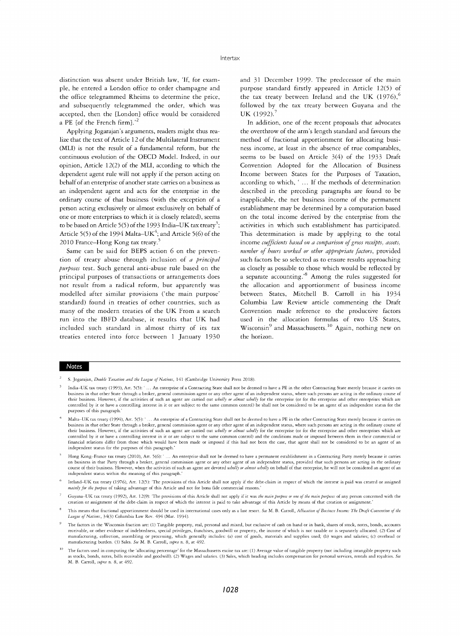distinction was absent under British law, **'If,** for exam**ple, he entered** a London **office to order** champagne and the office telegrammed Rheims to determine the price, and subsequently telegrammed the order, which was accepted, then the [London] office would be considered a PE [of the French firm].'<sup>2</sup>

Applying Jogarajan's arguments, readers might thus realize that the text of Article 12 of the Multilateral Instrument **(MLI)** is not the result of a fundamental reform, but the continuous evolution of the **OECD** Model. Indeed, in our opinion, Article 12(2) of the **MLI,** according to which the dependent agent rule will not **apply** if the person acting on behalf of an enterprise of another state carries on a business as an independent agent and acts for the enterprise in the ordinary course of that business (with the exception of a person acting exclusively or almost exclusively on behalf of one or more enterprises to which it is closely related), seems to be based on Article  $5(5)$  of the 1993 India-UK tax treaty<sup>3</sup>; Article **5(5)** of the 1994 Malta-UK<sup>4</sup> ; and Article **5(6)** of the 2010 France-Hong Kong tax treaty.<sup>5</sup>

Same can be said for BEPS action **6** on the prevention of treaty abuse through inclusion of *a principal purposes* test. Such general anti-abuse rule based on the principal purposes of transactions or arrangements does not result from a radical reform, but apparently was modelled after similar provisions ('the main purpose' standard) found in treaties of other countries, such as many of the modern treaties of the **UK** From a search run into the IBFD database, it results that **UK** had included such standard in almost thirty of its tax treaties entered into force between **1** January **1930** and **31** December **1999.** The predecessor of the main **purpose** standard firstly **appeared** in Article **12(5) of** the tax treaty between Ireland and the UK (1976),<sup>6</sup> followed **by** the tax treaty between Guyana and the **UK (1992). 7**

In addition, one of the recent proposals that advocates the overthrow of the arm's length standard and favours the method of fractional apportionment for allocating business income, at least in the absence of true comparables, seems to be based on Article 3(4) of the **1933** Draft Convention Adopted for the Allocation of Business Income between States for the Purposes of Taxation, according to which, **' ... If** the methods of determination described in the preceding paragraphs are found to be inapplicable, the net business income of the permanent establishment may be determined **by** a computation based on the total income derived **by** the enterprise from the activities in which such establishment has participated. This determination is made **by** applying to the total income *coefficients based on a comparison of gross receipts, assets, number of hours worked or other appropriate factors,* provided such factors be so selected as to ensure results approaching as closely as possible to those which would be reflected **by** a separate accounting.'<sup>8</sup> Among the rules suggested for the allocation and apportionment of business income between States, Mitchell B. Carroll in his 1934 Columbia Law Review article commenting the Draft Convention made reference to the productive factors used in the allocation formulas of two **US** States, Wisconsin $^9$  and Massachusetts.<sup>10</sup> Again, nothing new on the horizon.

#### Notes

- **<sup>3</sup>**India UK tax treaty (1993), Art 5(5): **' ...** An enterprise of a Contracting State shall not be deemed to have a PE in the other Contracting State merely because it carries on business in that other State through a broker, general commission agent or any other agent of an independent status, where such persons are acting in the ordinary course of their business. However, if the activities of such an agent are carried out *wholly or almost wholly* for the enterprise (or for the enterprise and other enterprises which are controlled by it or have a controlling interest in it or are subject to the same common control) he shall not be considered to be an agent of an independent status for the purposes of this paragraph.'
- Malta-UK tax treaty (1994), Art. 5(5): ' ... An enterprise of a Contracting State shall not be deemed to have a PE in the other Contracting State merely because it carries on business in that other State through a broker, general commission agent or any other agent of an independent status, where such persons are acting in the ordinary course of their business. However, if the activities of such an agent are carried out *wholly or almost wholly* for the enterprise (or for the enterprise and other enterprises which are controlled by it or have a controlling interest in it or are subject to the same common control) and the conditions made or imposed between them in their commercial or financial relations differ from those which would have been made or imposed if this had not been the case, that agent shall not be considered to be an agent of an independent status for the purposes of this paragraph.'
- **<sup>5</sup>**Hong Kong France tax treaty (2010), Art. 5(6): **' ...** An enterprise shall not be deemed to have a permanent establishment in a Contracting Party merely because it carries on business in that Party through a broker, general commission agent or any other agent of an independent status, provided that such persons are acting in the ordinary course of their business. However, when the activities of such an agent are devoted *wholly or almost wholly* on behalf of that enterprise, he will not be considered an agent of an independent status within the meaning of this paragraph.'
- **6** Ireland UK tax treaty (1976), Art. 12(5): 'The provisions of this Article shall not apply if the debt claim in respect of which the interest is paid was created or assigned mainly for the purpose of taking advantage of this Article and not for bona fide commercial reasons.
- Guyana-UK tax treaty (1992), Art. 12(9): 'The provisions of this Article shall not apply if it was the main purpose or one of the main purposes of any person concerned with the creation or assignment of the debt claim in respect of which the interest is paid to take advantage of this Article by means of that creation or assignment.'
- This means that fractional apportionment should be used in international cases only as a last resort. *See* M. B. Carroll, *Allocation of Business Income: The Draft Convention of the* League of Nations, 34(3) Columbia Law Rev. 494 (Mar. 1934).
- *9* The factors in the Wisconsin fraction are: (1) Tangible property, real, personal and mixed, but exclusive of cash on hand or in bank, shares of stock, notes, bonds, accounts receivable, or other evidence of indebtedness, special privileges, franchises, goodwill or property, the income of which is not taxable or is separately allocated. (2) Cost of manufacturing, collection, assembling or processing, which generally includes: (a) cost of goods, materials and supplies used; (b) wages and salaries; (c) overhead or manufacturing burden. (3) Sales. *See* M. B. Carroll, *supra* n. 8, at 492.
- The factors used in computing the 'allocating percentage' for the Massachusetts excise tax are: (1) Average value of tangible property (not including intangible property such as stocks, bonds, notes, bills receivable and goodwill). (2) Wages and salaries. (3) Sales, which heading includes compensation for personal services, rentals and royalties. *See* M. B. Carroll, *supra* n. 8, at 492.

<sup>8.</sup> Jogarajan, *Double Taxation and the League of Nations*, 141 (Cambridge University Press 2018).